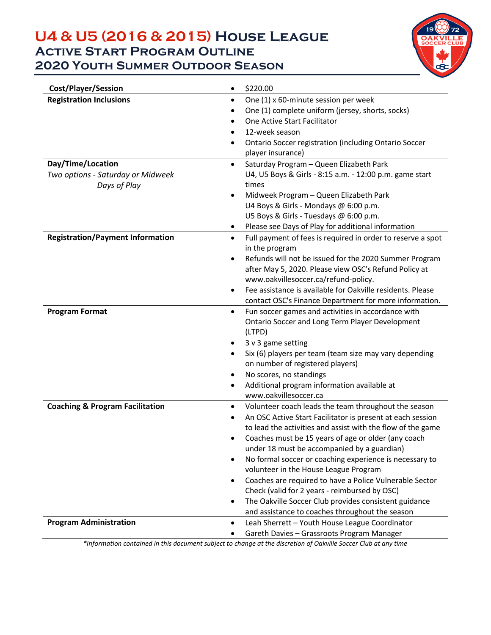## **U4 & U5 (2016 & 2015) House League Active Start Program Outline 2020 Youth Summer Outdoor Season**



| <b>Cost/Player/Session</b>                 | \$220.00<br>$\bullet$                                                                      |  |  |
|--------------------------------------------|--------------------------------------------------------------------------------------------|--|--|
| <b>Registration Inclusions</b>             | One (1) x 60-minute session per week<br>$\bullet$                                          |  |  |
|                                            | One (1) complete uniform (jersey, shorts, socks)                                           |  |  |
|                                            | One Active Start Facilitator<br>$\bullet$                                                  |  |  |
|                                            | 12-week season<br>$\bullet$                                                                |  |  |
|                                            | Ontario Soccer registration (including Ontario Soccer<br>$\bullet$                         |  |  |
|                                            | player insurance)                                                                          |  |  |
| Day/Time/Location                          | Saturday Program - Queen Elizabeth Park<br>$\bullet$                                       |  |  |
| Two options - Saturday or Midweek          | U4, U5 Boys & Girls - 8:15 a.m. - 12:00 p.m. game start                                    |  |  |
| Days of Play                               | times                                                                                      |  |  |
|                                            | Midweek Program - Queen Elizabeth Park                                                     |  |  |
|                                            | U4 Boys & Girls - Mondays @ 6:00 p.m.                                                      |  |  |
|                                            | U5 Boys & Girls - Tuesdays @ 6:00 p.m.                                                     |  |  |
|                                            | Please see Days of Play for additional information                                         |  |  |
| <b>Registration/Payment Information</b>    | Full payment of fees is required in order to reserve a spot<br>$\bullet$<br>in the program |  |  |
|                                            | Refunds will not be issued for the 2020 Summer Program                                     |  |  |
|                                            | after May 5, 2020. Please view OSC's Refund Policy at                                      |  |  |
|                                            | www.oakvillesoccer.ca/refund-policy.                                                       |  |  |
|                                            | Fee assistance is available for Oakville residents. Please<br>$\bullet$                    |  |  |
|                                            | contact OSC's Finance Department for more information.                                     |  |  |
| <b>Program Format</b>                      | Fun soccer games and activities in accordance with<br>$\bullet$                            |  |  |
|                                            | Ontario Soccer and Long Term Player Development                                            |  |  |
|                                            | (LTPD)                                                                                     |  |  |
|                                            | 3 v 3 game setting<br>٠                                                                    |  |  |
|                                            | Six (6) players per team (team size may vary depending<br>$\bullet$                        |  |  |
|                                            | on number of registered players)                                                           |  |  |
|                                            | No scores, no standings                                                                    |  |  |
|                                            | Additional program information available at                                                |  |  |
|                                            | www.oakvillesoccer.ca                                                                      |  |  |
| <b>Coaching &amp; Program Facilitation</b> | Volunteer coach leads the team throughout the season<br>$\bullet$                          |  |  |
|                                            | An OSC Active Start Facilitator is present at each session<br>$\bullet$                    |  |  |
|                                            | to lead the activities and assist with the flow of the game                                |  |  |
|                                            | Coaches must be 15 years of age or older (any coach                                        |  |  |
|                                            | under 18 must be accompanied by a guardian)                                                |  |  |
|                                            | No formal soccer or coaching experience is necessary to<br>$\bullet$                       |  |  |
|                                            | volunteer in the House League Program                                                      |  |  |
|                                            | Coaches are required to have a Police Vulnerable Sector<br>٠                               |  |  |
|                                            | Check (valid for 2 years - reimbursed by OSC)                                              |  |  |
|                                            | The Oakville Soccer Club provides consistent guidance<br>٠                                 |  |  |
|                                            | and assistance to coaches throughout the season                                            |  |  |
| <b>Program Administration</b>              | Leah Sherrett - Youth House League Coordinator<br>$\bullet$                                |  |  |
|                                            | Gareth Davies - Grassroots Program Manager                                                 |  |  |

*\*Information contained in this document subject to change at the discretion of Oakville Soccer Club at any time*